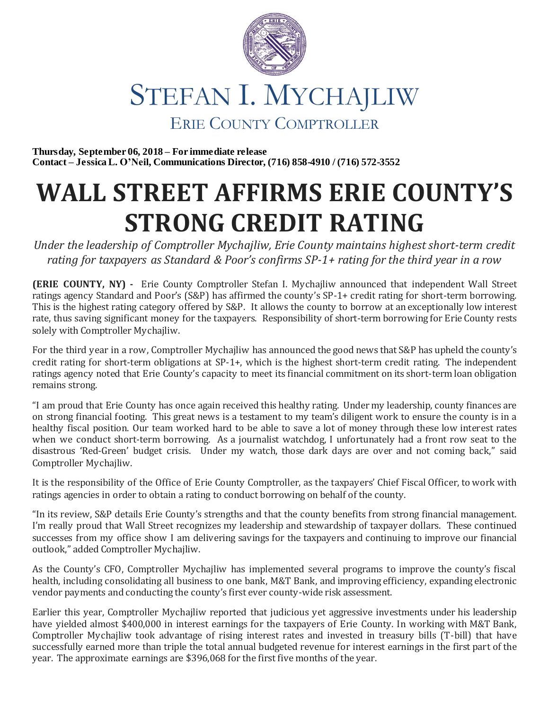

**Thursday, September 06, 2018 – For immediate release Contact – Jessica L. O'Neil, Communications Director, (716) 858-4910 / (716) 572-3552**

## **WALL STREET AFFIRMS ERIE COUNTY'S STRONG CREDIT RATING**

*Under the leadership of Comptroller Mychajliw, Erie County maintains highest short-term credit rating for taxpayers as Standard & Poor's confirms SP-1+ rating for the third year in a row*

**(ERIE COUNTY, NY) -** Erie County Comptroller Stefan I. Mychajliw announced that independent Wall Street ratings agency Standard and Poor's (S&P) has affirmed the county's SP-1+ credit rating for short-term borrowing. This is the highest rating category offered by S&P. It allows the county to borrow at an exceptionally low interest rate, thus saving significant money for the taxpayers. Responsibility of short-term borrowing for Erie County rests solely with Comptroller Mychajliw.

For the third year in a row, Comptroller Mychajliw has announced the good news that S&P has upheld the county's credit rating for short-term obligations at SP-1+, which is the highest short-term credit rating. The independent ratings agency noted that Erie County's capacity to meet its financial commitment on its short-term loan obligation remains strong.

"I am proud that Erie County has once again received this healthy rating. Under my leadership, county finances are on strong financial footing. This great news is a testament to my team's diligent work to ensure the county is in a healthy fiscal position. Our team worked hard to be able to save a lot of money through these low interest rates when we conduct short-term borrowing. As a journalist watchdog, I unfortunately had a front row seat to the disastrous 'Red-Green' budget crisis. Under my watch, those dark days are over and not coming back," said Comptroller Mychajliw.

It is the responsibility of the Office of Erie County Comptroller, as the taxpayers' Chief Fiscal Officer, to work with ratings agencies in order to obtain a rating to conduct borrowing on behalf of the county.

"In its review, S&P details Erie County's strengths and that the county benefits from strong financial management. I'm really proud that Wall Street recognizes my leadership and stewardship of taxpayer dollars. These continued successes from my office show I am delivering savings for the taxpayers and continuing to improve our financial outlook," added Comptroller Mychajliw.

As the County's CFO, Comptroller Mychajliw has implemented several programs to improve the county's fiscal health, including consolidating all business to one bank, M&T Bank, and improving efficiency, expanding electronic vendor payments and conducting the county's first ever county-wide risk assessment.

Earlier this year, Comptroller Mychajliw reported that judicious yet aggressive investments under his leadership have yielded almost \$400,000 in interest earnings for the taxpayers of Erie County. In working with M&T Bank, Comptroller Mychajliw took advantage of rising interest rates and invested in treasury bills (T-bill) that have successfully earned more than triple the total annual budgeted revenue for interest earnings in the first part of the year. The approximate earnings are \$396,068 for the first five months of the year.